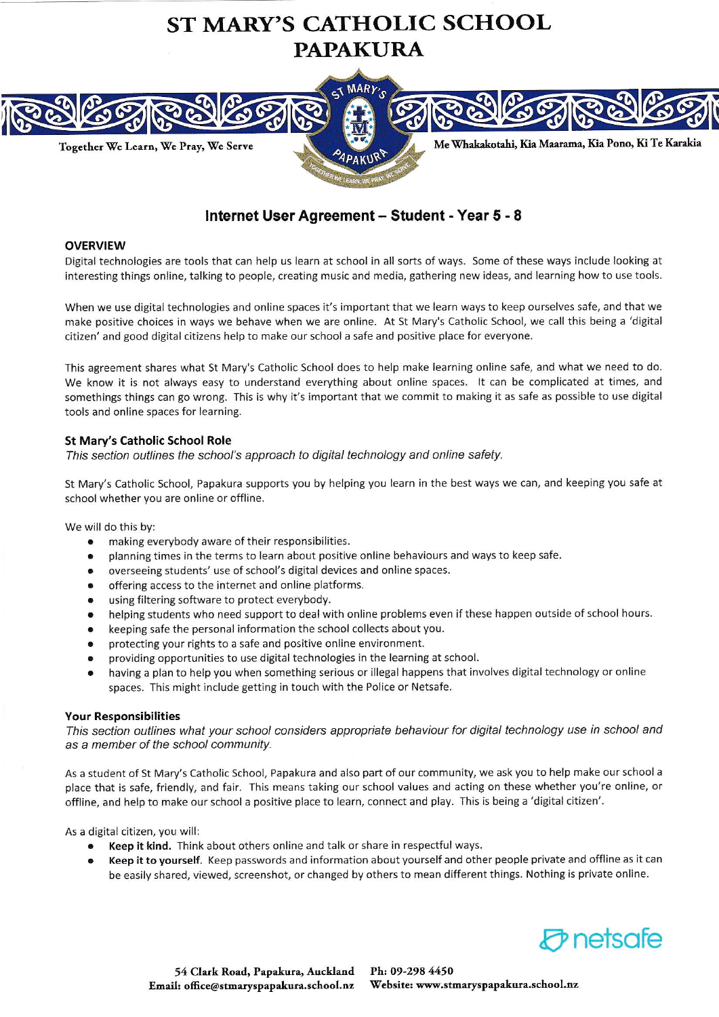



# Internet User Agreement - Student - Year 5 - 8

#### **OVERVIEW**

Digital technologies are tools that can help us learn at school in all sorts of ways. Some of these ways include looking at interesting things online, talking to people, creating music and media, gathering new ideas, and learning how to use tools.

When we use digital technologies and online spaces it's important that we learn ways to keep ourselves safe, and that we make positive choices in ways we behave when we are online. At St Mary's Catholic School, we call this being a 'digital citizen' and good digital citizens help to make our school a safe and positive place for everyone.

This agreement shares what St Mary's Catholic School does to help make learning online safe, and what we need to do. We know it is not always easy to understand everything about online spaces. It can be complicated at times, and somethings things can go wrong. This is why it's irnportant that we commit to making it as sate as possible to use digital tools and online spaces for learning.

### St Mary's Catholic School Role

This section autlines the school's approach to digital technology and online safety.

St Mary's Catholic School, Papakura supports you by helping you learn in the best ways we can, and keeping you safe at school whether you are online or offline.

We will do this by:

- making everybody aware of their responsibilities.
- . planning times in the terrns to learn about positive online behaviours and ways to keep safe.
- . overseeing students' use of school's digital devices and online spaces.
- offering access to the internet and online platforms.
- . using filtering software to protect everybody.
- . helping students who need support to deal with online problems even if these happen outside of school hours.
- . keeping safe the personal information the school collects about you.
- . protecting your rights to a safe and positive online environment.
- . providing opportunities to use digital technologies in the learning at school.
- having a plan to help you when something serious or illegal happens that involves digital technology or online spaces. This might include getting in touch with the Police or Netsafe.

#### Your Responsibilities

This section outlines what your school considers appropriate behaviour for digital technology use in school and as a member of the school community.

As a student of St Mary's Catholic School, Papakura and also part of our community, we ask you to help make our school <sup>a</sup> place that is safe, friendly, and fair. This means taking our school values and acting on these whether you're online, or offline, and help to make our school a positive plare to learn, connect and play. This is being a 'digital citizen'.

As a digital citizen, you will:

- Keep it kind. Think about others online and talk or share in respectful ways.
- Keep it to yourself. Keep passwords and information about yourself and other people private and offline as it can be easily shared, viewed, screenshot, or changed by others to mean different things. Nothing is private online.

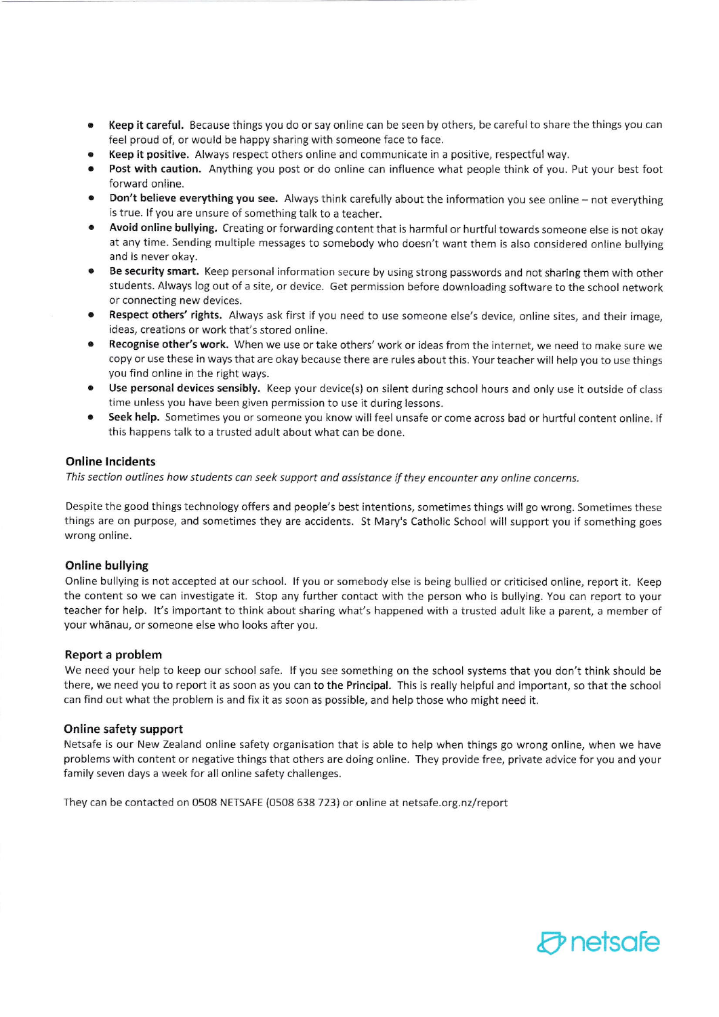- . Keep it careful. Because things you do or say online can be seen by others, be careflrlto share the things you can feel proud of, or would be happy sharing with someone face to face.
- Keep it positive. Always respect others online and communicate in a positive, respectful way.
- . Post with caution, Anything you post or do cnline aan influence what people think of you. Put your best foot forward online.
- Don't believe everything you see. Always think carefully about the information you see online not everything is true. If you are unsure of something talk to a teacher.
- Avoid online bullying. Creating or forwarding content that is harmful or hurtful towards someone else is not okay at any tinne. Sending multiple messages to somebody who doesn't want them is also considered online bullying and is never okay.
- Be security smart. Keep personal information secure by using strong passwords and not sharing them with other students. Always log out of a site, or device. Get permission before downloading software to the school network or connecting new devices.
- Respect others' rights. Always ask first if you need to use someone else's device, online sites, and their image, ideas, creations or work that's stored online.
- Recognise other's work. When we use or take others' work or ideas from the internet, we need to make sure we copy or use these in ways that are okay because there are rules about this. Your teacher will help you to use things you find online in the right ways.
- Use personal devices sensibly. Keep your device(s) on silent during school hours and only use it outside of class time unless you have been given permission to use it during Iessons.
- Seek help. Sometimes you or someone you know will feel unsafe or come across bad or hurtful content online. If this happens talk to a trusted adult about what can be done.

### Online lncidents

This section outlines how students can seek support and assistance if they encounter any online concerns.

Despite the good things technology offers and people's best intentions, sometimes things will go wrong. Sometimes these things are on purpose, and sometimes they are accidents. St Mary's Catholic School will support you if something goes wrong online.

### Online bullying

Online bullying is not accepted at our school. lf you or somebody else is being buliied or criticised online, report it. Keep the content so we can investigate it. Stop any further contact with the person who is bullying. You can report to your teacher for help. lt's important to think about sharing what's happened with a rrusted adult like a parent, a member of your whanau, or someone else who looks after you.

### Report a problem

We need your help to keep our school safe. If you see something on the school systems that you don't think should be there, we need you to report it as soon as you can to the Principal. This is really helpful and important, so that the school can find out what the problem is and fix it as soon as possible, and help those who might need it.

### Online safety support

Netsafe is our New Zealand online safety organisation that is able to help when things go wrong online, when we have problems with content or negative things that others are doing online. They provide free, private advice for you and your family seven days a week for all online safety challenges.

They can be contacted on 0508 NETSAFE (0508 638 723) or online at netsafe.org.nz/report